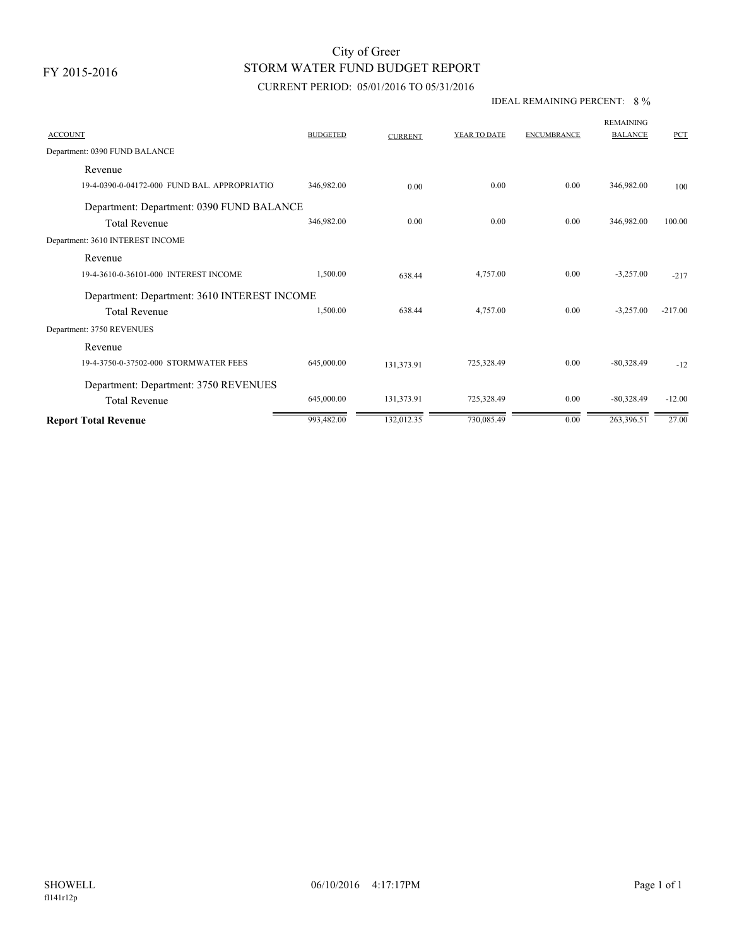# STORM WATER FUND BUDGET REPORT City of Greer

## CURRENT PERIOD: 05/01/2016 TO 05/31/2016

### IDEAL REMAINING PERCENT: 8 %

| <b>ACCOUNT</b>                               | <b>BUDGETED</b> | <b>CURRENT</b> | YEAR TO DATE | <b>ENCUMBRANCE</b> | <b>REMAINING</b><br><b>BALANCE</b> | <b>PCT</b> |  |  |
|----------------------------------------------|-----------------|----------------|--------------|--------------------|------------------------------------|------------|--|--|
| Department: 0390 FUND BALANCE                |                 |                |              |                    |                                    |            |  |  |
| Revenue                                      |                 |                |              |                    |                                    |            |  |  |
| 19-4-0390-0-04172-000 FUND BAL. APPROPRIATIO | 346,982.00      | 0.00           | 0.00         | 0.00               | 346,982.00                         | 100        |  |  |
| Department: Department: 0390 FUND BALANCE    |                 |                |              |                    |                                    |            |  |  |
| <b>Total Revenue</b>                         | 346,982.00      | 0.00           | 0.00         | 0.00               | 346,982.00                         | 100.00     |  |  |
| Department: 3610 INTEREST INCOME             |                 |                |              |                    |                                    |            |  |  |
| Revenue                                      |                 |                |              |                    |                                    |            |  |  |
| 19-4-3610-0-36101-000 INTEREST INCOME        | 1,500.00        | 638.44         | 4,757.00     | 0.00               | $-3,257.00$                        | $-217$     |  |  |
| Department: Department: 3610 INTEREST INCOME |                 |                |              |                    |                                    |            |  |  |
| <b>Total Revenue</b>                         | 1,500.00        | 638.44         | 4,757.00     | 0.00               | $-3,257.00$                        | $-217.00$  |  |  |
| Department: 3750 REVENUES                    |                 |                |              |                    |                                    |            |  |  |
| Revenue                                      |                 |                |              |                    |                                    |            |  |  |
| 19-4-3750-0-37502-000 STORMWATER FEES        | 645,000.00      | 131,373.91     | 725,328.49   | 0.00               | $-80,328.49$                       | $-12$      |  |  |
| Department: Department: 3750 REVENUES        |                 |                |              |                    |                                    |            |  |  |
| <b>Total Revenue</b>                         | 645,000.00      | 131,373.91     | 725,328.49   | 0.00               | $-80,328.49$                       | $-12.00$   |  |  |
| <b>Report Total Revenue</b>                  | 993,482.00      | 132,012.35     | 730,085.49   | 0.00               | 263,396.51                         | 27.00      |  |  |